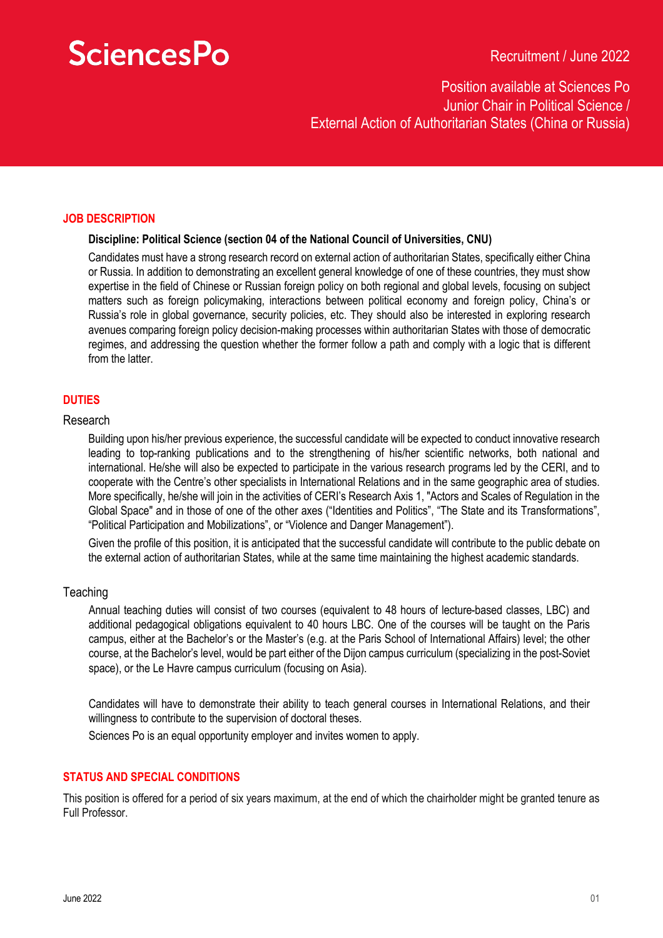# **SciencesPo**

### Position available at Sciences Po Junior Chair in Political Science / External Action of Authoritarian States (China or Russia)

#### **JOB DESCRIPTION**

#### **Discipline: Political Science (section 04 of the National Council of Universities, CNU)**

Candidates must have a strong research record on external action of authoritarian States, specifically either China or Russia. In addition to demonstrating an excellent general knowledge of one of these countries, they must show expertise in the field of Chinese or Russian foreign policy on both regional and global levels, focusing on subject matters such as foreign policymaking, interactions between political economy and foreign policy, China's or Russia's role in global governance, security policies, etc. They should also be interested in exploring research avenues comparing foreign policy decision-making processes within authoritarian States with those of democratic regimes, and addressing the question whether the former follow a path and comply with a logic that is different from the latter.

### **DUTIES**

#### Research

Building upon his/her previous experience, the successful candidate will be expected to conduct innovative research leading to top-ranking publications and to the strengthening of his/her scientific networks, both national and international. He/she will also be expected to participate in the various research programs led by the CERI, and to cooperate with the Centre's other specialists in International Relations and in the same geographic area of studies. More specifically, he/she will join in the activities of CERI's Research Axis 1, "Actors and Scales of Regulation in the Global Space" and in those of one of the other axes ("Identities and Politics", "The State and its Transformations", "Political Participation and Mobilizations", or "Violence and Danger Management").

Given the profile of this position, it is anticipated that the successful candidate will contribute to the public debate on the external action of authoritarian States, while at the same time maintaining the highest academic standards.

#### **Teaching**

Annual teaching duties will consist of two courses (equivalent to 48 hours of lecture-based classes, LBC) and additional pedagogical obligations equivalent to 40 hours LBC. One of the courses will be taught on the Paris campus, either at the Bachelor's or the Master's (e.g. at the Paris School of International Affairs) level; the other course, at the Bachelor's level, would be part either of the Dijon campus curriculum (specializing in the post-Soviet space), or the Le Havre campus curriculum (focusing on Asia).

Candidates will have to demonstrate their ability to teach general courses in International Relations, and their willingness to contribute to the supervision of doctoral theses.

Sciences Po is an equal opportunity employer and invites women to apply.

#### **STATUS AND SPECIAL CONDITIONS**

This position is offered for a period of six years maximum, at the end of which the chairholder might be granted tenure as Full Professor.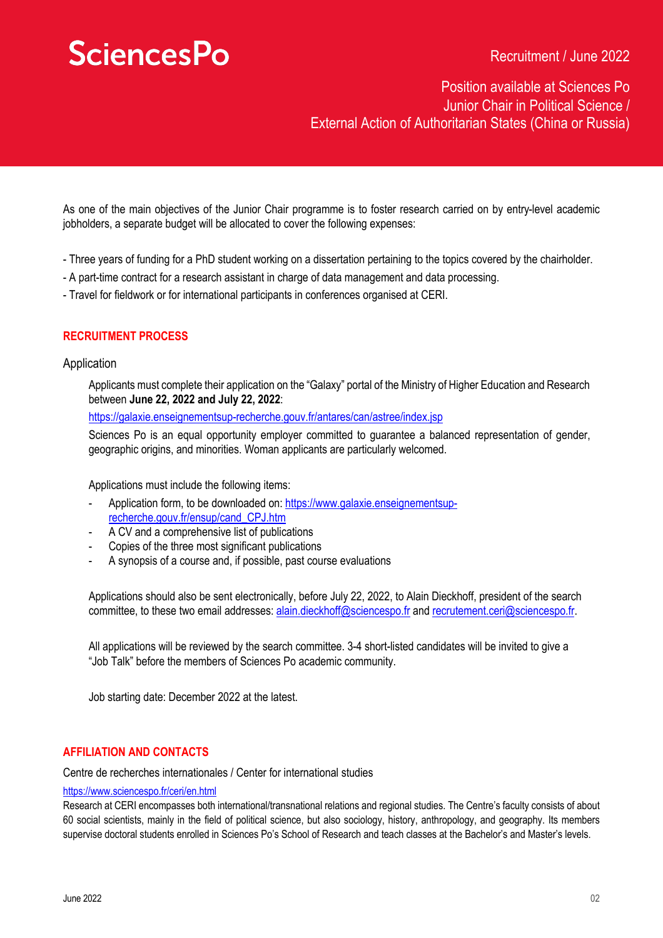# **SciencesPo**

Recruitment / June 2022

Position available at Sciences Po Junior Chair in Political Science / External Action of Authoritarian States (China or Russia)

As one of the main objectives of the Junior Chair programme is to foster research carried on by entry-level academic jobholders, a separate budget will be allocated to cover the following expenses:

- Three years of funding for a PhD student working on a dissertation pertaining to the topics covered by the chairholder.
- A part-time contract for a research assistant in charge of data management and data processing.
- Travel for fieldwork or for international participants in conferences organised at CERI.

### **RECRUITMENT PROCESS**

#### Application

Applicants must complete their application on the "Galaxy" portal of the Ministry of Higher Education and Research between **June 22, 2022 and July 22, 2022**:

https://galaxie.enseignementsup-recherche.gouv.fr/antares/can/astree/index.jsp

Sciences Po is an equal opportunity employer committed to guarantee a balanced representation of gender, geographic origins, and minorities. Woman applicants are particularly welcomed.

Applications must include the following items:

- Application form, to be downloaded on: https://www.galaxie.enseignementsuprecherche.gouv.fr/ensup/cand\_CPJ.htm
- A CV and a comprehensive list of publications
- Copies of the three most significant publications
- A synopsis of a course and, if possible, past course evaluations

Applications should also be sent electronically, before July 22, 2022, to Alain Dieckhoff, president of the search committee, to these two email addresses: alain.dieckhoff@sciencespo.fr and recrutement.ceri@sciencespo.fr.

All applications will be reviewed by the search committee. 3-4 short-listed candidates will be invited to give a "Job Talk" before the members of Sciences Po academic community.

Job starting date: December 2022 at the latest.

#### **AFFILIATION AND CONTACTS**

Centre de recherches internationales / Center for international studies

#### https://www.sciencespo.fr/ceri/en.html

Research at CERI encompasses both international/transnational relations and regional studies. The Centre's faculty consists of about 60 social scientists, mainly in the field of political science, but also sociology, history, anthropology, and geography. Its members supervise doctoral students enrolled in Sciences Po's School of Research and teach classes at the Bachelor's and Master's levels.